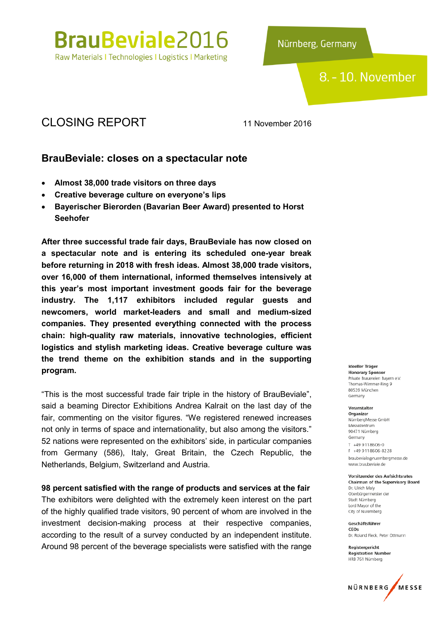

Nürnberg, Germany

## 8. - 10. November

## CLOSING REPORT 11 November 2016

## BrauBeviale: closes on a spectacular note

- Almost 38,000 trade visitors on three days
- Creative beverage culture on everyone's lips
- Bayerischer Bierorden (Bavarian Beer Award) presented to Horst Seehofer

After three successful trade fair days, BrauBeviale has now closed on a spectacular note and is entering its scheduled one-year break before returning in 2018 with fresh ideas. Almost 38,000 trade visitors, over 16,000 of them international, informed themselves intensively at this year's most important investment goods fair for the beverage industry. The 1,117 exhibitors included regular guests and newcomers, world market-leaders and small and medium-sized companies. They presented everything connected with the process chain: high-quality raw materials, innovative technologies, efficient logistics and stylish marketing ideas. Creative beverage culture was the trend theme on the exhibition stands and in the supporting program.

"This is the most successful trade fair triple in the history of BrauBeviale", said a beaming Director Exhibitions Andrea Kalrait on the last day of the fair, commenting on the visitor figures. "We registered renewed increases not only in terms of space and internationality, but also among the visitors." 52 nations were represented on the exhibitors' side, in particular companies from Germany (586), Italy, Great Britain, the Czech Republic, the Netherlands, Belgium, Switzerland and Austria.

98 percent satisfied with the range of products and services at the fair The exhibitors were delighted with the extremely keen interest on the part of the highly qualified trade visitors, 90 percent of whom are involved in the investment decision-making process at their respective companies, according to the result of a survey conducted by an independent institute. Around 98 percent of the beverage specialists were satisfied with the range

#### Ideeller Träger **Honorary Sponsor** Private Brauereien Bayern e.V. Thomas-Wimmer-Ring 9 80539 München Germany

#### Veranstalter

Organizer NürnbergMesse GmbH Messezentrum 90471 Nürnberg Germany  $T + 499118606 - 0$ F +49 9 11 86 06 - 82 28 braubeviale@nuernbergmesse.de www.braubeviale.de

#### **Vorsitzender des Aufsichtsrates Chairman of the Supervisory Board**

Dr. Ulrich Maly Oberbürgermeister der Stadt Nürnberg Lord Mayor of the City of Nuremberg

Geschäftsführer CEOS Dr. Roland Fleck, Peter Ottmann

Registergericht **Registration Number** HRB 761 Nürnberg

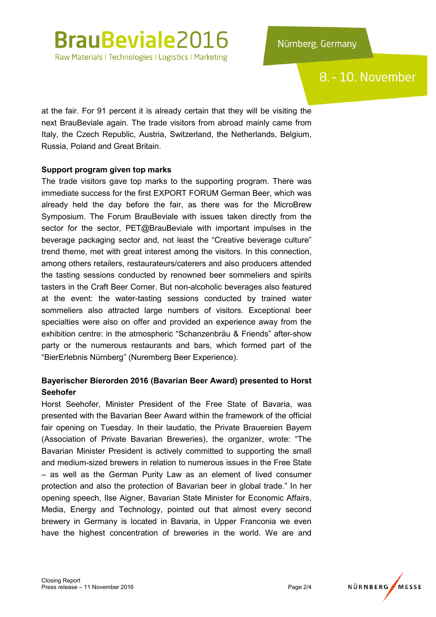## 8. - 10. November

at the fair. For 91 percent it is already certain that they will be visiting the next BrauBeviale again. The trade visitors from abroad mainly came from Italy, the Czech Republic, Austria, Switzerland, the Netherlands, Belgium, Russia, Poland and Great Britain.

#### Support program given top marks

The trade visitors gave top marks to the supporting program. There was immediate success for the first EXPORT FORUM German Beer, which was already held the day before the fair, as there was for the MicroBrew Symposium. The Forum BrauBeviale with issues taken directly from the sector for the sector, PET@BrauBeviale with important impulses in the beverage packaging sector and, not least the "Creative beverage culture" trend theme, met with great interest among the visitors. In this connection, among others retailers, restaurateurs/caterers and also producers attended the tasting sessions conducted by renowned beer sommeliers and spirits tasters in the Craft Beer Corner. But non-alcoholic beverages also featured at the event: the water-tasting sessions conducted by trained water sommeliers also attracted large numbers of visitors. Exceptional beer specialties were also on offer and provided an experience away from the exhibition centre: in the atmospheric "Schanzenbräu & Friends" after-show party or the numerous restaurants and bars, which formed part of the "BierErlebnis Nürnberg" (Nuremberg Beer Experience).

### Bayerischer Bierorden 2016 (Bavarian Beer Award) presented to Horst Seehofer

Horst Seehofer, Minister President of the Free State of Bavaria, was presented with the Bavarian Beer Award within the framework of the official fair opening on Tuesday. In their laudatio, the Private Brauereien Bayern (Association of Private Bavarian Breweries), the organizer, wrote: "The Bavarian Minister President is actively committed to supporting the small and medium-sized brewers in relation to numerous issues in the Free State – as well as the German Purity Law as an element of lived consumer protection and also the protection of Bavarian beer in global trade." In her opening speech, Ilse Aigner, Bavarian State Minister for Economic Affairs, Media, Energy and Technology, pointed out that almost every second brewery in Germany is located in Bavaria, in Upper Franconia we even have the highest concentration of breweries in the world. We are and

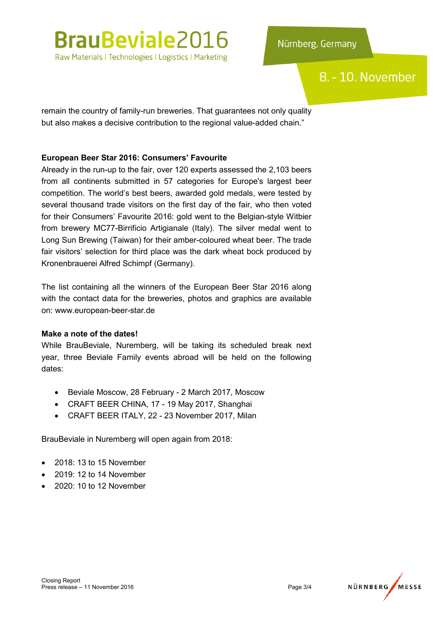# **BrauBeviale2016**

Raw Materials I Technologies I Logistics I Marketing

## 8. - 10. November

remain the country of family-run breweries. That guarantees not only quality but also makes a decisive contribution to the regional value-added chain."

### European Beer Star 2016: Consumers' Favourite

Already in the run-up to the fair, over 120 experts assessed the 2,103 beers from all continents submitted in 57 categories for Europe's largest beer competition. The world's best beers, awarded gold medals, were tested by several thousand trade visitors on the first day of the fair, who then voted for their Consumers' Favourite 2016: gold went to the Belgian-style Witbier from brewery MC77-Birrificio Artigianale (Italy). The silver medal went to Long Sun Brewing (Taiwan) for their amber-coloured wheat beer. The trade fair visitors' selection for third place was the dark wheat bock produced by Kronenbrauerei Alfred Schimpf (Germany).

The list containing all the winners of the European Beer Star 2016 along with the contact data for the breweries, photos and graphics are available on: www.european-beer-star.de

#### Make a note of the dates!

While BrauBeviale, Nuremberg, will be taking its scheduled break next year, three Beviale Family events abroad will be held on the following dates:

- Beviale Moscow, 28 February 2 March 2017, Moscow
- CRAFT BEER CHINA, 17 19 May 2017, Shanghai
- CRAFT BEER ITALY, 22 23 November 2017, Milan

BrauBeviale in Nuremberg will open again from 2018:

- 2018: 13 to 15 November
- 2019: 12 to 14 November
- 2020: 10 to 12 November